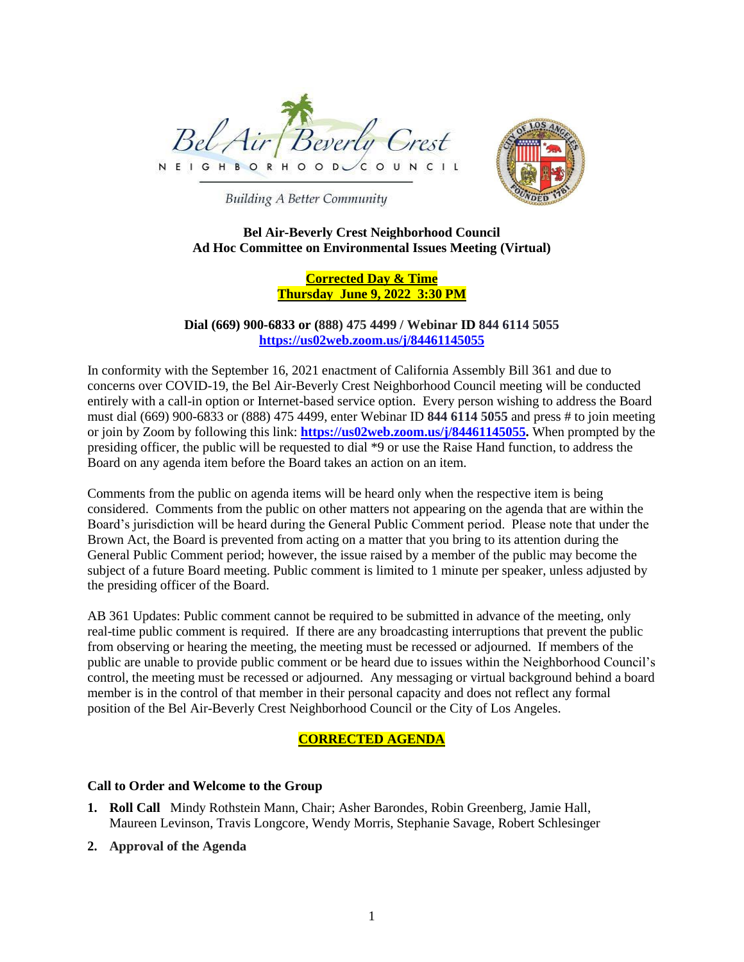



**Building A Better Community** 

### **Bel Air-Beverly Crest Neighborhood Council Ad Hoc Committee on Environmental Issues Meeting (Virtual)**

# **Corrected Day & Time Thursday June 9, 2022 3:30 PM**

**Dial (669) 900-6833 or (888) 475 4499 / Webinar ID 844 6114 5055 https://us02web.zoom.us/j/84461145055**

In conformity with the September 16, 2021 enactment of California Assembly Bill 361 and due to concerns over COVID-19, the Bel Air-Beverly Crest Neighborhood Council meeting will be conducted entirely with a call-in option or Internet-based service option. Every person wishing to address the Board must dial (669) 900-6833 or (888) 475 4499, enter Webinar ID **844 6114 5055** and press # to join meeting or join by Zoom by following this link: **[https://us02web.zoom.us/j/84461145055.](https://us02web.zoom.us/j/84461145055)** When prompted by the presiding officer, the public will be requested to dial \*9 or use the Raise Hand function, to address the Board on any agenda item before the Board takes an action on an item.

Comments from the public on agenda items will be heard only when the respective item is being considered. Comments from the public on other matters not appearing on the agenda that are within the Board's jurisdiction will be heard during the General Public Comment period. Please note that under the Brown Act, the Board is prevented from acting on a matter that you bring to its attention during the General Public Comment period; however, the issue raised by a member of the public may become the subject of a future Board meeting. Public comment is limited to 1 minute per speaker, unless adjusted by the presiding officer of the Board.

AB 361 Updates: Public comment cannot be required to be submitted in advance of the meeting, only real-time public comment is required. If there are any broadcasting interruptions that prevent the public from observing or hearing the meeting, the meeting must be recessed or adjourned. If members of the public are unable to provide public comment or be heard due to issues within the Neighborhood Council's control, the meeting must be recessed or adjourned. Any messaging or virtual background behind a board member is in the control of that member in their personal capacity and does not reflect any formal position of the Bel Air-Beverly Crest Neighborhood Council or the City of Los Angeles.

# **CORRECTED AGENDA**

### **Call to Order and Welcome to the Group**

- **1. Roll Call** Mindy Rothstein Mann, Chair; Asher Barondes, Robin Greenberg, Jamie Hall, Maureen Levinson, Travis Longcore, Wendy Morris, Stephanie Savage, Robert Schlesinger
- **2. Approval of the Agenda**